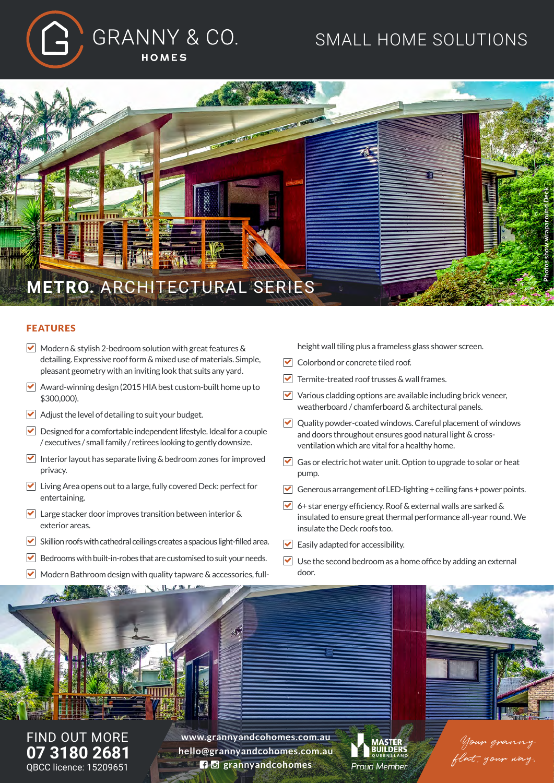## SMALL HOME SOLUTIONS





## FEATURES

- $\triangledown$  Modern & stylish 2-bedroom solution with great features & detailing. Expressive roof form & mixed use of materials. Simple, pleasant geometry with an inviting look that suits any yard.
- Award-winning design (2015 HIA best custom-built home up to \$300,000).
- $\triangledown$  Adjust the level of detailing to suit your budget.
- Designed for a comfortable independent lifestyle. Ideal for a couple / executives / small family / retirees looking to gently downsize.
- Interior layout has separate living  $&$  bedroom zones for improved privacy.
- Living Area opens out to a large, fully covered Deck: perfect for entertaining.
- $\triangledown$  Large stacker door improves transition between interior & exterior areas.
- $\blacktriangleright$  Skillion roofs with cathedral ceilings creates a spacious light-filled area.
- $\triangledown$  Bedrooms with built-in-robes that are customised to suit your needs.
- $\triangledown$  Modern Bathroom design with quality tapware & accessories, full-

height wall tiling plus a frameless glass shower screen.

- $\triangledown$  Colorbond or concrete tiled roof.
- $\nabla$  Termite-treated roof trusses & wall frames.
- $\triangledown$  Various cladding options are available including brick veneer, weatherboard / chamferboard & architectural panels.
- $\triangledown$  Quality powder-coated windows. Careful placement of windows and doors throughout ensures good natural light & crossventilation which are vital for a healthy home.
- Gas or electric hot water unit. Option to upgrade to solar or heat pump.
- Generous arrangement of LED-lighting  $+$  ceiling fans  $+$  power points.
- $\triangledown$  6+ star energy efficiency. Roof & external walls are sarked & insulated to ensure great thermal performance all-year round. We insulate the Deck roofs too.
- $\triangleright$  Easily adapted for accessibility.
- $\triangledown$  Use the second bedroom as a home office by adding an external door.



**www.grannyandcohomes.com.au hello@grannyandcohomes.com.au g g** grannyandcohomes



Your granny flat, your way.